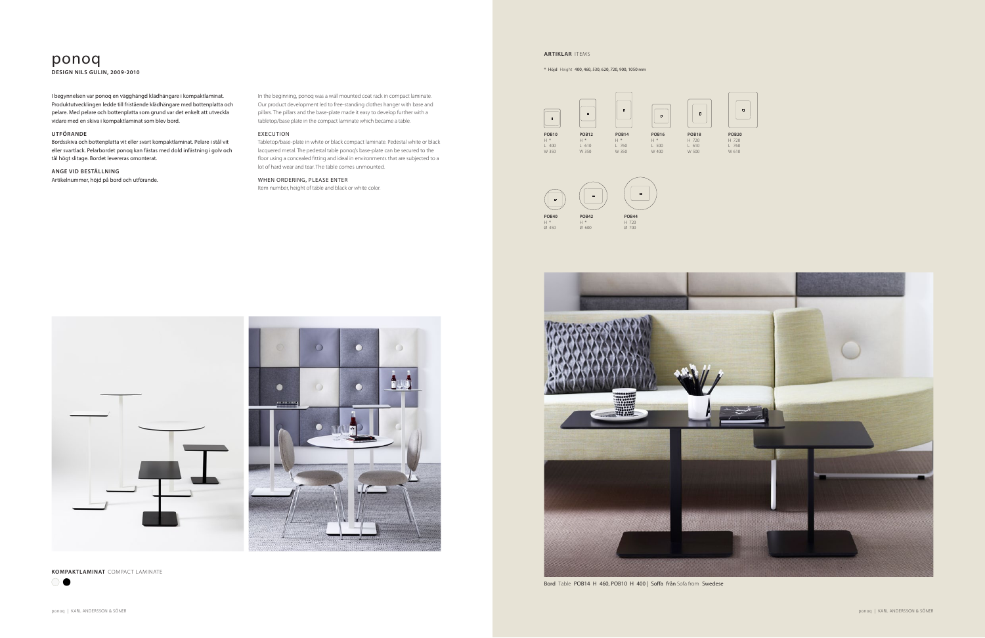# ponoq

**DESIGN NILS GULIN, 2009-2010**

In the beginning, ponoq was a wall mounted coat rack in compact laminate. Our product development led to free-standing clothes hanger with base and pillars. The pillars and the base-plate made it easy to develop further with a tabletop/base plate in the compact laminate which became a table.

#### EXECUTION

Tabletop/base-plate in white or black compact laminate. Pedestal white or black lacquered metal. The pedestal table ponoq's base-plate can be secured to the floor using a concealed fitting and ideal in environments that are subjected to a lot of hard wear and tear. The table comes unmounted.

 $\bigcirc$ 

## WHEN ORDERING, PLEASE ENTER

Item number, height of table and black or white color.

I begynnelsen var ponoq en vägghängd klädhängare i kompaktlaminat. Produktutvecklingen ledde till fristående klädhängare med bottenplatta och pelare. Med pelare och bottenplatta som grund var det enkelt att utveckla vidare med en skiva i kompaktlaminat som blev bord.

# **UTFÖRANDE**

Bordsskiva och bottenplatta vit eller svart kompaktlaminat. Pelare i stål vit eller svartlack. Pelarbordet ponoq kan fästas med dold infästning i golv och tål högt slitage. Bordet levereras omonterat.

#### **ANGE VID BESTÄLLNING**

Artikelnummer, höjd på bord och utförande.

**KOMPAKTLAMINAT** COMPACT LAMINATE



#### **ARTIKLAR** ITEMS

\* Höjd Height 400, 460, 530, 620, 720, 900, 1050 mm







Bord Table POB14 H 460, POB10 H 400 | Soffa från Sofa from Swedese

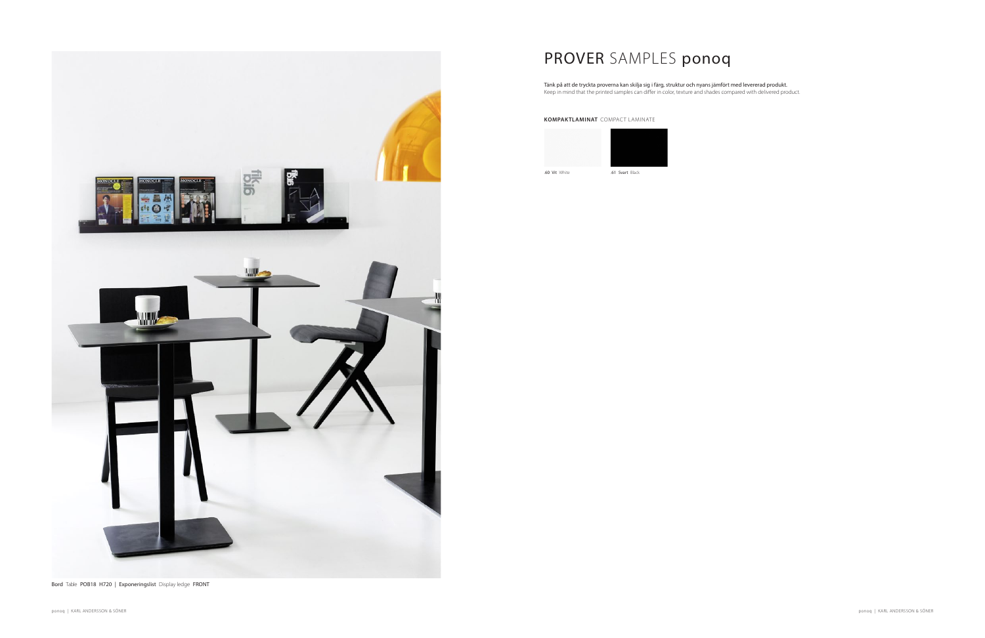

PROVER SAMPLES ponoq

Tänk på att de tryckta proverna kan skilja sig i färg, struktur och nyans jämfört med levererad produkt. Keep in mind that the printed samples can differ in color, texture and shades compared with delivered product.

## **KOMPAKTLAMINAT** COMPACT LAMINATE